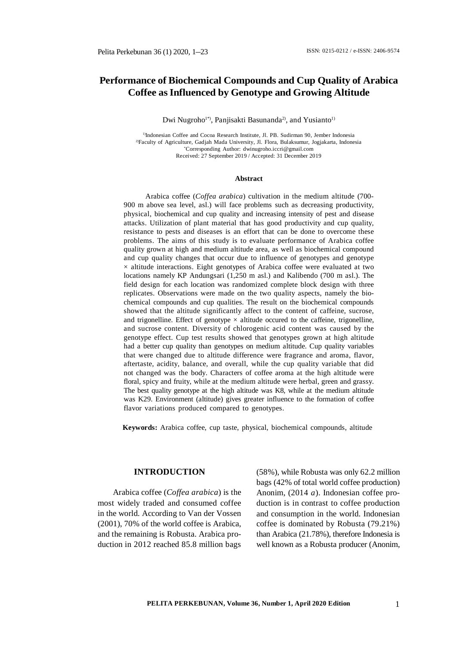# **Performance of Biochemical Compounds and Cup Quality of Arabica Coffee as Influenced by Genotype and Growing Altitude**

Dwi Nugroho<sup>1\*</sup>), Panjisakti Basunanda<sup>2</sup>), and Yusianto<sup>1)</sup>

<sup>1)</sup>Indonesian Coffee and Cocoa Research Institute, Jl. PB. Sudirman 90, Jember Indonesia <sup>2)</sup>Faculty of Agriculture, Gadjah Mada University, Jl. Flora, Bulaksumur, Jogjakarta, Indonesia \*Corresponding Author: [dwinugroho.iccri@gmail.com](mailto:dwinugroho.iccri@gmail.com) Received: 27 September 2019 / Accepted: 31 December 2019

#### **Abstract**

Arabica coffee (*Coffea arabica*) cultivation in the medium altitude (700- 900 m above sea level, asl.) will face problems such as decreasing productivity, physical, biochemical and cup quality and increasing intensity of pest and disease attacks. Utilization of plant material that has good productivity and cup quality, resistance to pests and diseases is an effort that can be done to overcome these problems. The aims of this study is to evaluate performance of Arabica coffee quality grown at high and medium altitude area, as well as biochemical compound and cup quality changes that occur due to influence of genotypes and genotype  $\times$  altitude interactions. Eight genotypes of Arabica coffee were evaluated at two locations namely KP Andungsari (1,250 m asl.) and Kalibendo (700 m asl.). The field design for each location was randomized complete block design with three replicates. Observations were made on the two quality aspects, namely the biochemical compounds and cup qualities. The result on the biochemical compounds showed that the altitude significantly affect to the content of caffeine, sucrose, and trigonelline. Effect of genotype  $\times$  altitude occured to the caffeine, trigonelline, and sucrose content. Diversity of chlorogenic acid content was caused by the genotype effect. Cup test results showed that genotypes grown at high altitude had a better cup quality than genotypes on medium altitude. Cup quality variables that were changed due to altitude difference were fragrance and aroma, flavor, aftertaste, acidity, balance, and overall, while the cup quality variable that did not changed was the body. Characters of coffee aroma at the high altitude were floral, spicy and fruity, while at the medium altitude were herbal, green and grassy. The best quality genotype at the high altitude was K8, while at the medium altitude was K29. Environment (altitude) gives greater influence to the formation of coffee flavor variations produced compared to genotypes.

**Keywords:** Arabica coffee, cup taste, physical, biochemical compounds, altitude

#### **INTRODUCTION**

Arabica coffee (*Coffea arabica*) is the most widely traded and consumed coffee in the world. According to Van der Vossen (2001), 70% of the world coffee is Arabica, and the remaining is Robusta. Arabica production in 2012 reached 85.8 million bags

(58%), while Robusta was only 62.2 million bags (42% of total world coffee production) Anonim, (2014 *a*). Indonesian coffee production is in contrast to coffee production and consumption in the world. Indonesian coffee is dominated by Robusta (79.21%) than Arabica (21.78%), therefore Indonesia is well known as a Robusta producer (Anonim,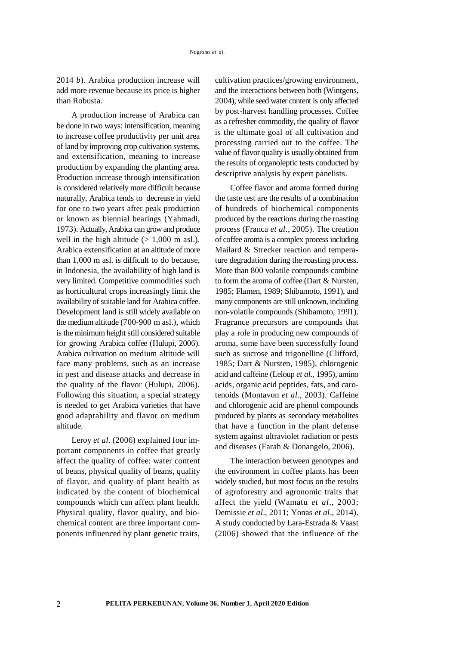2014 *b*). Arabica production increase will add more revenue because its price is higher than Robusta.

A production increase of Arabica can be done in two ways: intensification, meaning to increase coffee productivity per unit area of land by improving crop cultivation systems, and extensification, meaning to increase production by expanding the planting area. Production increase through intensification is considered relatively more difficult because naturally, Arabica tends to decrease in yield for one to two years after peak production or known as biennial bearings (Yahmadi, 1973). Actually, Arabica can grow and produce well in the high altitude  $(> 1,000 \text{ m as}$ . Arabica extensification at an altitude of more than 1,000 m asl. is difficult to do because, in Indonesia, the availability of high land is very limited. Competitive commodities such as horticultural crops increasingly limit the availability of suitable land for Arabica coffee. Development land is still widely available on the medium altitude (700-900 m asl.), which is the minimum height still considered suitable for growing Arabica coffee (Hulupi, 2006). Arabica cultivation on medium altitude will face many problems, such as an increase in pest and disease attacks and decrease in the quality of the flavor (Hulupi, 2006). Following this situation, a special strategy is needed to get Arabica varieties that have good adaptability and flavor on medium altitude.

Leroy *et al*. (2006) explained four important components in coffee that greatly affect the quality of coffee: water content of beans, physical quality of beans, quality of flavor, and quality of plant health as indicated by the content of biochemical compounds which can affect plant health. Physical quality, flavor quality, and biochemical content are three important components influenced by plant genetic traits, cultivation practices/growing environment, and the interactions between both (Wintgens, 2004), while seed water content is only affected by post-harvest handling processes. Coffee as a refresher commodity, the quality of flavor is the ultimate goal of all cultivation and processing carried out to the coffee. The value of flavor quality is usually obtained from the results of organoleptic tests conducted by descriptive analysis by expert panelists.

Coffee flavor and aroma formed during the taste test are the results of a combination of hundreds of biochemical components produced by the reactions during the roasting process (Franca *et al*., 2005). The creation of coffee aroma is a complex process including Mailard & Strecker reaction and temperature degradation during the roasting process. More than 800 volatile compounds combine to form the aroma of coffee (Dart & Nursten, 1985; Flamen, 1989; Shibamoto, 1991), and many components are still unknown, including non-volatile compounds (Shibamoto, 1991). Fragrance precursors are compounds that play a role in producing new compounds of aroma, some have been successfully found such as sucrose and trigonelline (Clifford, 1985; Dart & Nursten, 1985), chlorogenic acid and caffeine (Leloup *et al*., 1995), amino acids, organic acid peptides, fats, and carotenoids (Montavon *et al*., 2003). Caffeine and chlorogenic acid are phenol compounds produced by plants as secondary metabolites that have a function in the plant defense system against ultraviolet radiation or pests and diseases (Farah & Donangelo, 2006).

The interaction between genotypes and the environment in coffee plants has been widely studied, but most focus on the results of agroforestry and agronomic traits that affect the yield (Wamatu *et al*., 2003; Demissie *et al*., 2011; Yonas *et al*., 2014). A study conducted by Lara-Estrada & Vaast (2006) showed that the influence of the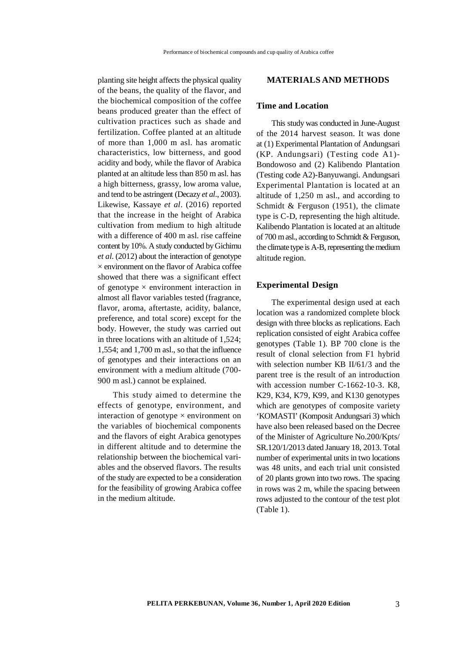planting site height affects the physical quality of the beans, the quality of the flavor, and the biochemical composition of the coffee beans produced greater than the effect of cultivation practices such as shade and fertilization. Coffee planted at an altitude of more than 1,000 m asl. has aromatic characteristics, low bitterness, and good acidity and body, while the flavor of Arabica planted at an altitude less than 850 m asl. has a high bitterness, grassy, low aroma value, and tend to be astringent (Decazy *et al*., 2003). Likewise, Kassaye *et al*. (2016) reported that the increase in the height of Arabica cultivation from medium to high altitude with a difference of 400 m asl. rise caffeine content by 10%. A study conducted by Gichimu *et al*. (2012) about the interaction of genotype  $\times$  environment on the flavor of Arabica coffee showed that there was a significant effect of genotype  $\times$  environment interaction in almost all flavor variables tested (fragrance, flavor, aroma, aftertaste, acidity, balance, preference, and total score) except for the body. However, the study was carried out in three locations with an altitude of 1,524; 1,554; and 1,700 m asl., so that the influence of genotypes and their interactions on an environment with a medium altitude (700- 900 m asl.) cannot be explained.

This study aimed to determine the effects of genotype, environment, and interaction of genotype  $\times$  environment on the variables of biochemical components and the flavors of eight Arabica genotypes in different altitude and to determine the relationship between the biochemical variables and the observed flavors. The results of the study are expected to be a consideration for the feasibility of growing Arabica coffee in the medium altitude.

## **MATERIALS AND METHODS**

### **Time and Location**

This study was conducted in June-August of the 2014 harvest season. It was done at (1) Experimental Plantation of Andungsari (KP. Andungsari) (Testing code A1)- Bondowoso and (2) Kalibendo Plantation (Testing code A2)-Banyuwangi. Andungsari Experimental Plantation is located at an altitude of 1,250 m asl., and according to Schmidt & Ferguson (1951), the climate type is C-D, representing the high altitude. Kalibendo Plantation is located at an altitude of 700 m asl., according to Schmidt & Ferguson, the climate type is A-B, representing the medium altitude region.

#### **Experimental Design**

The experimental design used at each location was a randomized complete block design with three blocks as replications. Each replication consisted of eight Arabica coffee genotypes (Table 1). BP 700 clone is the result of clonal selection from F1 hybrid with selection number KB II/61/3 and the parent tree is the result of an introduction with accession number C-1662-10-3. K8, K29, K34, K79, K99, and K130 genotypes which are genotypes of composite variety 'KOMASTI' (Komposit Andungsari 3) which have also been released based on the Decree of the Minister of Agriculture No.200/Kpts/ SR.120/1/2013 dated January 18, 2013. Total number of experimental units in two locations was 48 units, and each trial unit consisted of 20 plants grown into two rows. The spacing in rows was 2 m, while the spacing between rows adjusted to the contour of the test plot (Table 1).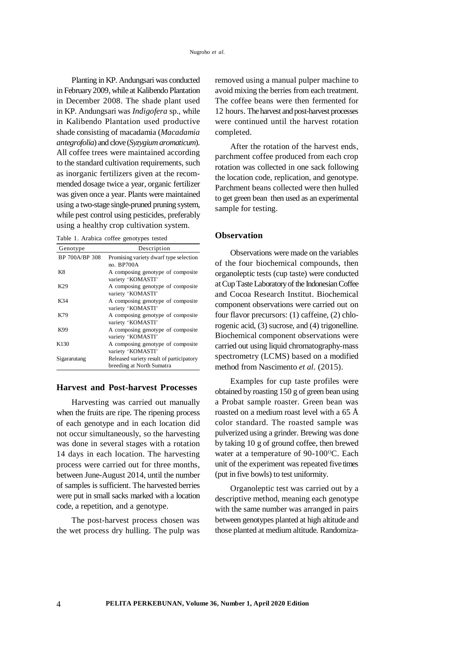Planting in KP. Andungsari was conducted in February 2009, while at Kalibendo Plantation in December 2008. The shade plant used in KP. Andungsari was *Indigofera* sp*.,* while in Kalibendo Plantation used productive shade consisting of macadamia (*Macadamia antegrofolia*) and clove (*Syzygium aromaticum*). All coffee trees were maintained according to the standard cultivation requirements, such as inorganic fertilizers given at the recommended dosage twice a year, organic fertilizer was given once a year. Plants were maintained using a two-stage single-pruned pruning system, while pest control using pesticides, preferably using a healthy crop cultivation system.

Table 1. Arabica coffee genotypes tested

| Genotype         | Description                                                           |
|------------------|-----------------------------------------------------------------------|
| BP 700A/BP 308   | Promising variety dwarf type selection<br>no. BP700A                  |
| K8               | A composing genotype of composite<br>variety 'KOMASTI'                |
| K29              | A composing genotype of composite<br>variety 'KOMASTI'                |
| K34              | A composing genotype of composite<br>variety 'KOMASTI'                |
| K79              | A composing genotype of composite<br>variety 'KOMASTI'                |
| K99              | A composing genotype of composite<br>variety 'KOMASTI'                |
| K <sub>130</sub> | A composing genotype of composite<br>variety 'KOMASTI'                |
| Sigararutang     | Released variety result of participatory<br>breeding at North Sumatra |

#### **Harvest and Post-harvest Processes**

Harvesting was carried out manually when the fruits are ripe. The ripening process of each genotype and in each location did not occur simultaneously, so the harvesting was done in several stages with a rotation 14 days in each location. The harvesting process were carried out for three months, between June-August 2014, until the number of samples is sufficient. The harvested berries were put in small sacks marked with a location code, a repetition, and a genotype.

The post-harvest process chosen was the wet process dry hulling. The pulp was removed using a manual pulper machine to avoid mixing the berries from each treatment. The coffee beans were then fermented for 12 hours. The harvest and post-harvest processes were continued until the harvest rotation completed.

After the rotation of the harvest ends, parchment coffee produced from each crop rotation was collected in one sack following the location code, replication, and genotype. Parchment beans collected were then hulled to get green bean then used as an experimental sample for testing.

#### **Observation**

Observations were made on the variables of the four biochemical compounds, then organoleptic tests (cup taste) were conducted at Cup Taste Laboratory of the Indonesian Coffee and Cocoa Research Institut. Biochemical component observations were carried out on four flavor precursors: (1) caffeine, (2) chlorogenic acid, (3) sucrose, and (4) trigonelline. Biochemical component observations were carried out using liquid chromatography-mass spectrometry (LCMS) based on a modified method from Nascimento *et al*. (2015).

Examples for cup taste profiles were obtained by roasting 150 g of green bean using a Probat sample roaster. Green bean was roasted on a medium roast level with a 65 Å color standard. The roasted sample was pulverized using a grinder. Brewing was done by taking 10 g of ground coffee, then brewed water at a temperature of  $90-100^{\circ}$ C. Each unit of the experiment was repeated five times (put in five bowls) to test uniformity.

Organoleptic test was carried out by a descriptive method, meaning each genotype with the same number was arranged in pairs between genotypes planted at high altitude and those planted at medium altitude. Randomiza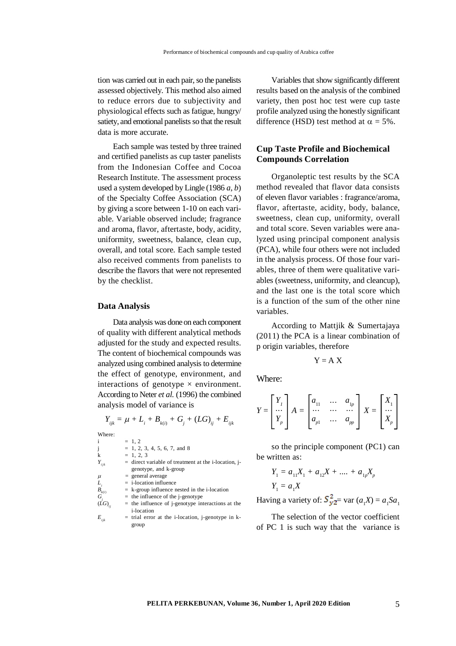tion was carried out in each pair, so the panelists assessed objectively. This method also aimed to reduce errors due to subjectivity and physiological effects such as fatigue, hungry/ satiety, and emotional panelists so that the result data is more accurate.

Each sample was tested by three trained and certified panelists as cup taster panelists from the Indonesian Coffee and Cocoa Research Institute. The assessment process used a system developed by Lingle (1986 *a*, *b*) of the Specialty Coffee Association (SCA) by giving a score between 1-10 on each variable. Variable observed include; fragrance and aroma, flavor, aftertaste, body, acidity, uniformity, sweetness, balance, clean cup, overall, and total score. Each sample tested also received comments from panelists to describe the flavors that were not represented by the checklist.

### **Data Analysis**

Data analysis was done on each component of quality with different analytical methods adjusted for the study and expected results. The content of biochemical compounds was analyzed using combined analysis to determine the effect of genotype, environment, and interactions of genotype  $\times$  environment. According to Neter *et al.* (1996) the combined analysis model of variance is

$$
Y_{ijk} = \mu + L_i + B_{k(i)} + G_j + (LG)_{ij} + E_{ijk}
$$

Where:

| i              | $= 1, 2$                                               |
|----------------|--------------------------------------------------------|
| j              | $= 1, 2, 3, 4, 5, 6, 7,$ and 8                         |
| k              | $= 1, 2, 3$                                            |
| $Y_{ijk}$      | $=$ direct variable of treatment at the i-location, j- |
|                | genotype, and k-group                                  |
| μ              | $=$ general average                                    |
| L,             | $=$ i-location influence                               |
| $B_{k(i)}$     | $=$ k-group influence nested in the i-location         |
| $G_{i}$        | $=$ the influence of the j-genotype                    |
| $(\dot{L}G)$ . | $=$ the influence of j-genotype interactions at the    |
|                | <i>i</i> -location                                     |
| $E_{_{iik}}$   | $=$ trial error at the i-location, j-genotype in k-    |
|                | group                                                  |

Variables that show significantly different results based on the analysis of the combined variety, then post hoc test were cup taste profile analyzed using the honestly significant difference (HSD) test method at  $\alpha = 5\%$ .

## **Cup Taste Profile and Biochemical Compounds Correlation**

Organoleptic test results by the SCA method revealed that flavor data consists of eleven flavor variables : fragrance/aroma, flavor, aftertaste, acidity, body, balance, sweetness, clean cup, uniformity, overall and total score. Seven variables were analyzed using principal component analysis (PCA), while four others were not included in the analysis process. Of those four variables, three of them were qualitative variables (sweetness, uniformity, and cleancup), and the last one is the total score which is a function of the sum of the other nine variables.

According to Mattjik & Sumertajaya (2011) the PCA is a linear combination of p origin variables, therefore

$$
Y = A \; X
$$

Where:

$$
Y = \begin{bmatrix} Y_1 \\ \cdots \\ Y_p \end{bmatrix} A = \begin{bmatrix} a_{11} & \cdots & a_{1p} \\ \cdots & \cdots & \cdots \\ a_{p1} & \cdots & a_{pp} \end{bmatrix} X = \begin{bmatrix} X_1 \\ \cdots \\ X_p \end{bmatrix}
$$

so the principle component (PC1) can be written as:

$$
Y_1 = a_{11}X_1 + a_{12}X + \dots + a_{1p}X_p
$$
  

$$
Y_1 = a_1X
$$

Having a variety of:  $S_{y2}^2$  var  $(a_1X) = a_1Sa_1$ 

The selection of the vector coefficient of PC 1 is such way that the variance is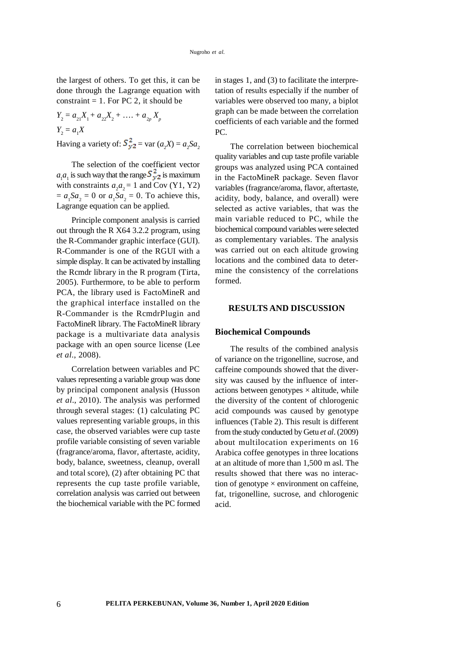the largest of others. To get this, it can be done through the Lagrange equation with constraint  $= 1$ . For PC 2, it should be

 $Y_2 = a_{21}X_1 + a_{22}X_2 + \ldots + a_{2p}X_p$  $Y_2 = a_1 X$ Having a variety of:  $S_{y2}^2$  = var  $(a_2X) = a_2Sa_2$ 

The selection of the coefficient vector  $a_1 a_1$  is such way that the range  $S_{y2}^2$  is maximum with constraints  $a_2 a_2 = 1$  and Cov (Y1, Y2)  $= a_1 Sa_2 = 0$  or  $a_1 Sa_2 = 0$ . To achieve this, Lagrange equation can be applied.

Principle component analysis is carried out through the R X64 3.2.2 program, using the R-Commander graphic interface (GUI). R-Commander is one of the RGUI with a simple display. It can be activated by installing the Rcmdr library in the R program (Tirta, 2005). Furthermore, to be able to perform PCA, the library used is FactoMineR and the graphical interface installed on the R-Commander is the RcmdrPlugin and FactoMineR library. The FactoMineR library package is a multivariate data analysis package with an open source license (Lee *et al*., 2008).

Correlation between variables and PC values representing a variable group was done by principal component analysis (Husson *et al*., 2010). The analysis was performed through several stages: (1) calculating PC values representing variable groups, in this case, the observed variables were cup taste profile variable consisting of seven variable (fragrance/aroma, flavor, aftertaste, acidity, body, balance, sweetness, cleanup, overall and total score), (2) after obtaining PC that represents the cup taste profile variable, correlation analysis was carried out between the biochemical variable with the PC formed in stages 1, and (3) to facilitate the interpretation of results especially if the number of variables were observed too many, a biplot graph can be made between the correlation coefficients of each variable and the formed  $PC$ .

The correlation between biochemical quality variables and cup taste profile variable groups was analyzed using PCA contained in the FactoMineR package. Seven flavor variables (fragrance/aroma, flavor, aftertaste, acidity, body, balance, and overall) were selected as active variables, that was the main variable reduced to PC, while the biochemical compound variables were selected as complementary variables. The analysis was carried out on each altitude growing locations and the combined data to determine the consistency of the correlations formed.

### **RESULTS AND DISCUSSION**

#### **Biochemical Compounds**

The results of the combined analysis of variance on the trigonelline, sucrose, and caffeine compounds showed that the diversity was caused by the influence of interactions between genotypes  $\times$  altitude, while the diversity of the content of chlorogenic acid compounds was caused by genotype influences (Table 2). This result is different from the study conducted by Getu *et al*. (2009) about multilocation experiments on 16 Arabica coffee genotypes in three locations at an altitude of more than 1,500 m asl. The results showed that there was no interaction of genotype  $\times$  environment on caffeine. fat, trigonelline, sucrose, and chlorogenic acid.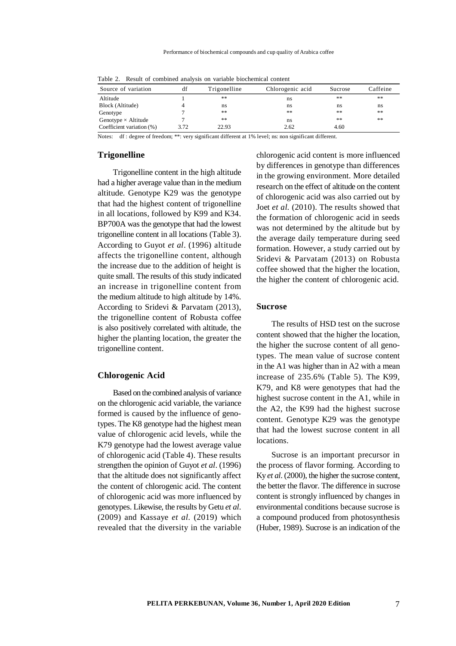| TWOIG MI THOUGHT OF SOMEOMIGHT WHINT ON THEINGED DEOGRAPHINGS SOMEOMY |      |              |                  |         |          |
|-----------------------------------------------------------------------|------|--------------|------------------|---------|----------|
| Source of variation                                                   | df   | Trigonelline | Chlorogenic acid | Sucrose | Caffeine |
| Altitude                                                              |      | **           | ns               | **      | **       |
| Block (Altitude)                                                      |      | ns           | ns               | ns      | ns       |
| Genotype                                                              |      | **           | **               | **      | **       |
| Genotype $\times$ Altitude                                            |      | **           | ns               | **      | **       |
| Coefficient variation (%)                                             | 3.72 | 22.93        | 2.62             | 4.60    |          |

Table 2. Result of combined analysis on variable biochemical content

Notes: df : degree of freedom; \*\*: very significant different at 1% level; ns: non significant different.

#### **Trigonelline**

Trigonelline content in the high altitude had a higher average value than in the medium altitude. Genotype K29 was the genotype that had the highest content of trigonelline in all locations, followed by K99 and K34. BP700A was the genotype that had the lowest trigonelline content in all locations (Table 3). According to Guyot *et al*. (1996) altitude affects the trigonelline content, although the increase due to the addition of height is quite small. The results of this study indicated an increase in trigonelline content from the medium altitude to high altitude by 14%. According to Sridevi & Parvatam (2013), the trigonelline content of Robusta coffee is also positively correlated with altitude, the higher the planting location, the greater the trigonelline content.

### **Chlorogenic Acid**

Based on the combined analysis of variance on the chlorogenic acid variable, the variance formed is caused by the influence of genotypes. The K8 genotype had the highest mean value of chlorogenic acid levels, while the K79 genotype had the lowest average value of chlorogenic acid (Table 4). These results strengthen the opinion of Guyot *et al*. (1996) that the altitude does not significantly affect the content of chlorogenic acid. The content of chlorogenic acid was more influenced by genotypes. Likewise, the results by Getu *et al*. (2009) and Kassaye *et al.* (2019) which revealed that the diversity in the variable

chlorogenic acid content is more influenced by differences in genotype than differences in the growing environment. More detailed research on the effect of altitude on the content of chlorogenic acid was also carried out by Joet *et al.* (2010). The results showed that the formation of chlorogenic acid in seeds was not determined by the altitude but by the average daily temperature during seed formation. However, a study carried out by Sridevi & Parvatam (2013) on Robusta coffee showed that the higher the location, the higher the content of chlorogenic acid.

#### **Sucrose**

The results of HSD test on the sucrose content showed that the higher the location, the higher the sucrose content of all genotypes. The mean value of sucrose content in the A1 was higher than in A2 with a mean increase of 235.6% (Table 5). The K99, K79, and K8 were genotypes that had the highest sucrose content in the A1, while in the A2, the K99 had the highest sucrose content. Genotype K29 was the genotype that had the lowest sucrose content in all locations.

Sucrose is an important precursor in the process of flavor forming. According to Ky *et al*. (2000), the higher the sucrose content, the better the flavor. The difference in sucrose content is strongly influenced by changes in environmental conditions because sucrose is a compound produced from photosynthesis (Huber, 1989). Sucrose is an indication of the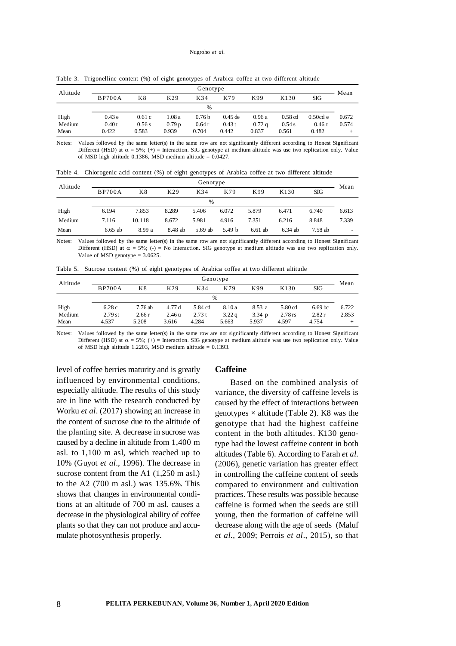| Genotype<br>Altitude |               |        |                   |                   |           |       | Mean             |            |       |
|----------------------|---------------|--------|-------------------|-------------------|-----------|-------|------------------|------------|-------|
|                      | <b>BP700A</b> | K8     | K29               | K34               | K79       | K99   | K <sub>130</sub> | SIG        |       |
|                      |               |        |                   | $\frac{0}{0}$     |           |       |                  |            |       |
| High                 | 0.43e         | 0.61c  | 1.08 a            | 0.76 <sub>b</sub> | $0.45$ de | 0.96a | $0.58$ cd        | $0.50cd$ e | 0.672 |
| Medium               | 0.40t         | 0.56 s | 0.79 <sub>p</sub> | 0.64r             | 0.43t     | 0.72a | 0.54 s           | 0.46 t     | 0.574 |
| Mean                 | 0.422         | 0.583  | 0.939             | 0.704             | 0.442     | 0.837 | 0.561            | 0.482      | ÷     |

Table 3. Trigonelline content (%) of eight genotypes of Arabica coffee at two different altitude

Notes: Values followed by the same letter(s) in the same row are not significantly different according to Honest Significant Different (HSD) at  $\alpha = 5\%$ ; (+) = Interaction. SIG genotype at medium altitude was use two replication only. Value of MSD high altitude 0.1386, MSD medium altitude =  $0.0427$ .

| Table 4. Chlorogenic acid content (%) of eight genotypes of Arabica coffee at two different altitude |  |  |  |  |  |
|------------------------------------------------------------------------------------------------------|--|--|--|--|--|
|                                                                                                      |  |  |  |  |  |

| Altitude | Genotype      |        |                 |               |                   |           |           |         | Mean  |
|----------|---------------|--------|-----------------|---------------|-------------------|-----------|-----------|---------|-------|
|          | <b>BP700A</b> | Κ8     | K <sub>29</sub> | K34           | K79               | K99       | K130      | SIG     |       |
|          |               |        |                 | $\frac{0}{0}$ |                   |           |           |         |       |
| High     | 6.194         | 7.853  | 8.289           | 5.406         | 6.072             | 5.879     | 6.471     | 6.740   | 6.613 |
| Medium   | 7.116         | 10.118 | 8.672           | 5.981         | 4.916             | 7.351     | 6.216     | 8.848   | 7.339 |
| Mean     | $6.65$ ab     | 8.99 a | 8.48 ab         | 5.69 ab       | 5.49 <sub>b</sub> | $6.61$ ab | $6.34$ ab | 7.58 ab |       |

Notes: Values followed by the same letter(s) in the same row are not significantly different according to Honest Significant Different (HSD) at  $\alpha = 5\%$ ; (-) = No Interaction. SIG genotype at medium altitude was use two replication only. Value of MSD genotype = 3.0625.

| Table 5. Sucrose content (%) of eight genotypes of Arabica coffee at two different altitude |  |  |  |  |  |
|---------------------------------------------------------------------------------------------|--|--|--|--|--|
|---------------------------------------------------------------------------------------------|--|--|--|--|--|

| Altitude | Genotype      |         |        |         |        |           |           |                    | Mean  |
|----------|---------------|---------|--------|---------|--------|-----------|-----------|--------------------|-------|
|          | <b>BP700A</b> | K8      | K29    | K34     | K79    | K99       | K130      | SIG                |       |
|          |               |         |        | $\%$    |        |           |           |                    |       |
| High     | 6.28c         | 7.76 ab | 4.77 d | 5.84 cd | 8.10 a | 8.53 a    | $5.80$ cd | 6.69 <sub>bc</sub> | 6.722 |
| Medium   | $2.79$ st     | 2.66r   | 2.46 u | 2.73t   | 3.22q  | $3.34\;p$ | $2.78$ rs | 2.82r              | 2.853 |
| Mean     | 4.537         | 5.208   | 3.616  | 4.284   | 5.663  | 5.937     | 4.597     | 4.754              |       |

Notes: Values followed by the same letter(s) in the same row are not significantly different according to Honest Significant Different (HSD) at  $\alpha = 5\%$ ; (+) = Interaction. SIG genotype at medium altitude was use two replication only. Value of MSD high altitude 1.2203, MSD medium altitude =  $0.1393$ .

level of coffee berries maturity and is greatly influenced by environmental conditions, especially altitude. The results of this study are in line with the research conducted by Worku *et al*. (2017) showing an increase in the content of sucrose due to the altitude of the planting site. A decrease in sucrose was caused by a decline in altitude from 1,400 m asl. to 1,100 m asl, which reached up to 10% (Guyot *et al*., 1996). The decrease in sucrose content from the A1  $(1,250 \text{ m as}l.)$ to the A2 (700 m asl.) was 135.6%. This shows that changes in environmental conditions at an altitude of 700 m asl. causes a decrease in the physiological ability of coffee plants so that they can not produce and accumulate photosynthesis properly.

#### **Caffeine**

Based on the combined analysis of variance, the diversity of caffeine levels is caused by the effect of interactions between genotypes  $\times$  altitude (Table 2). K8 was the genotype that had the highest caffeine content in the both altitudes. K130 genotype had the lowest caffeine content in both altitudes (Table 6). According to Farah *et al.* (2006), genetic variation has greater effect in controlling the caffeine content of seeds compared to environment and cultivation practices. These results was possible because caffeine is formed when the seeds are still young, then the formation of caffeine will decrease along with the age of seeds (Maluf *et al.*, 2009; Perrois *et al*., 2015), so that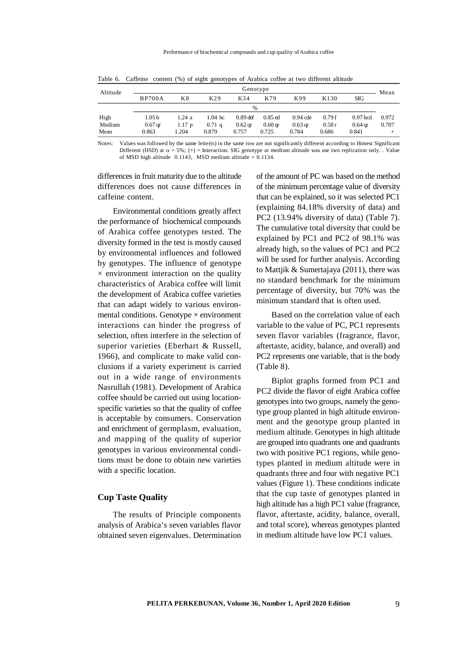| Altitude |               | Genotype          |                   |            |                    |            |       |            |       |
|----------|---------------|-------------------|-------------------|------------|--------------------|------------|-------|------------|-------|
|          | <b>BP700A</b> | K8                | K29               | K34        | K79                | K99        | K130  | <b>SIG</b> | Mean  |
|          |               |                   |                   | %          |                    |            |       |            |       |
| High     | 1.05 b        | 1.24 a            | $1.04 \text{ bc}$ | $0.89$ def | $0.85$ ed          | $0.94$ cde | 0.79f | $0.97$ bcd | 0.972 |
| Medium   | $0.67$ gr     | 1.17 <sub>p</sub> | $0.71$ q          | $0.62$ gr  | 0.60 <sub>qr</sub> | $0.63$ gr  | 0.58r | $0.64$ ar  | 0.707 |
| Mean     | 0.863         | 1.204             | 0.879             | 0.757      | 0.725              | 0.784      | 0.686 | 0.841      |       |

Table 6. Caffeine content (%) of eight genotypes of Arabica coffee at two different altitude

Notes: Values was followed by the same letter(s) in the same row are not significantly different according to Honest Significant Different (HSD) at  $\alpha = 5\%$ ; (+) = Interaction. SIG genotype at medium altitude was use two replication only. . Value of MSD high altitude  $0.1143$ , MSD medium altitude = 0.1134.

differences in fruit maturity due to the altitude differences does not cause differences in caffeine content.

Environmental conditions greatly affect the performance of biochemical compounds of Arabica coffee genotypes tested. The diversity formed in the test is mostly caused by environmental influences and followed by genotypes. The influence of genotype  $\times$  environment interaction on the quality characteristics of Arabica coffee will limit the development of Arabica coffee varieties that can adapt widely to various environmental conditions. Genotype  $\times$  environment interactions can hinder the progress of selection, often interfere in the selection of superior varieties (Eberhart & Russell, 1966), and complicate to make valid conclusions if a variety experiment is carried out in a wide range of environments Nasrullah (1981). Development of Arabica coffee should be carried out using locationspecific varieties so that the quality of coffee is acceptable by consumers. Conservation and enrichment of germplasm, evaluation, and mapping of the quality of superior genotypes in various environmental conditions must be done to obtain new varieties with a specific location.

### **Cup Taste Quality**

The results of Principle components analysis of Arabica's seven variables flavor obtained seven eigenvalues. Determination

of the amount of PC was based on the method of the minimum percentage value of diversity that can be explained, so it was selected PC1 (explaining 84.18% diversity of data) and PC2 (13.94% diversity of data) (Table 7). The cumulative total diversity that could be explained by PC1 and PC2 of 98.1% was already high, so the values of PC1 and PC2 will be used for further analysis. According to Mattjik & Sumertajaya (2011), there was no standard benchmark for the minimum percentage of diversity, but 70% was the minimum standard that is often used.

Based on the correlation value of each variable to the value of PC, PC1 represents seven flavor variables (fragrance, flavor, aftertaste, acidity, balance, and overall) and PC2 represents one variable, that is the body (Table 8).

Biplot graphs formed from PC1 and PC2 divide the flavor of eight Arabica coffee genotypes into two groups, namely the genotype group planted in high altitude environment and the genotype group planted in medium altitude. Genotypes in high altitude are grouped into quadrants one and quadrants two with positive PC1 regions, while genotypes planted in medium altitude were in quadrants three and four with negative PC1 values (Figure 1). These conditions indicate that the cup taste of genotypes planted in high altitude has a high PC1 value (fragrance, flavor, aftertaste, acidity, balance, overall, and total score), whereas genotypes planted in medium altitude have low PC1 values.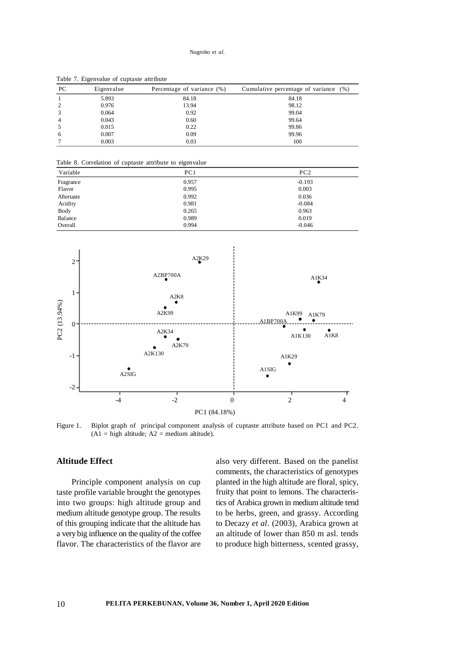| PC | Eigenvalue | Percentage of variance (%) | Cumulative percentage of variance (%) |
|----|------------|----------------------------|---------------------------------------|
|    | 5.893      | 84.18                      | 84.18                                 |
|    | 0.976      | 13.94                      | 98.12                                 |
|    | 0.064      | 0.92                       | 99.04                                 |
|    | 0.043      | 0.60                       | 99.64                                 |
|    | 0.015      | 0.22                       | 99.86                                 |
| h  | 0.007      | 0.09                       | 99.96                                 |
|    | 0.003      | 0.03                       | 100                                   |

Table 7. Eigenvalue of cuptaste attribute

Table 8. Correlation of cuptaste attribute to eigenvalue

| Variable   | PC1   | PC2      |
|------------|-------|----------|
| Fragrance  | 0.957 | $-0.193$ |
| Flavor     | 0.995 | 0.003    |
| Aftertaste | 0.992 | 0.036    |
| Acidity    | 0.981 | $-0.084$ |
| Body       | 0.265 | 0.963    |
| Balance    | 0.989 | 0.019    |
| Overall    | 0.994 | $-0.046$ |



Figure 1. Biplot graph of principal component analysis of cuptaste attribute based on PC1 and PC2.  $(A1 = high altitude; A2 = medium altitude).$ 

## **Altitude Effect**

Principle component analysis on cup taste profile variable brought the genotypes into two groups: high altitude group and medium altitude genotype group. The results of this grouping indicate that the altitude has a very big influence on the quality of the coffee flavor. The characteristics of the flavor are

also very different. Based on the panelist comments, the characteristics of genotypes planted in the high altitude are floral, spicy, fruity that point to lemons. The characteristics of Arabica grown in medium altitude tend to be herbs, green, and grassy. According to Decazy *et al*. (2003), Arabica grown at an altitude of lower than 850 m asl. tends to produce high bitterness, scented grassy,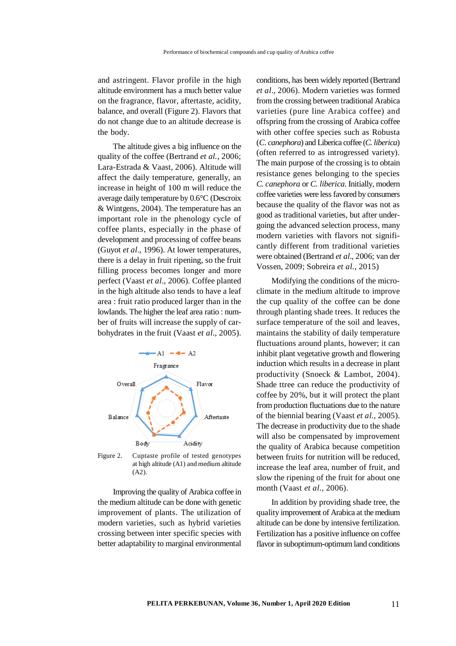and astringent. Flavor profile in the high altitude environment has a much better value on the fragrance, flavor, aftertaste, acidity, balance, and overall (Figure 2). Flavors that do not change due to an altitude decrease is the body.

The altitude gives a big influence on the quality of the coffee (Bertrand *et al.,* 2006; Lara-Estrada & Vaast, 2006). Altitude will affect the daily temperature, generally, an increase in height of 100 m will reduce the average daily temperature by 0.6°C (Descroix & Wintgens, 2004). The temperature has an important role in the phenology cycle of coffee plants, especially in the phase of development and processing of coffee beans (Guyot *et al*., 1996). At lower temperatures, there is a delay in fruit ripening, so the fruit filling process becomes longer and more perfect (Vaast *et al*., 2006). Coffee planted in the high altitude also tends to have a leaf area : fruit ratio produced larger than in the lowlands. The higher the leaf area ratio : number of fruits will increase the supply of carbohydrates in the fruit (Vaast *et al*., 2005).



Figure 2. Cuptaste profile of tested genotypes at high altitude (A1) and medium altitude (A2).

Improving the quality of Arabica coffee in the medium altitude can be done with genetic improvement of plants. The utilization of modern varieties, such as hybrid varieties crossing between inter specific species with better adaptability to marginal environmental

conditions, has been widely reported (Bertrand *et al*., 2006). Modern varieties was formed from the crossing between traditional Arabica varieties (pure line Arabica coffee) and offspring from the crossing of Arabica coffee with other coffee species such as Robusta (*C. canephora*) and Liberica coffee (*C. liberica*) (often referred to as introgressed variety). The main purpose of the crossing is to obtain resistance genes belonging to the species *C. canephora* or *C. liberica*. Initially, modern coffee varieties were less favored by consumers because the quality of the flavor was not as good as traditional varieties, but after undergoing the advanced selection process, many modern varieties with flavors not significantly different from traditional varieties were obtained (Bertrand *et al*., 2006; van der Vossen, 2009; Sobreira *et al.*, 2015)

Modifying the conditions of the microclimate in the medium altitude to improve the cup quality of the coffee can be done through planting shade trees. It reduces the surface temperature of the soil and leaves, maintains the stability of daily temperature fluctuations around plants, however; it can inhibit plant vegetative growth and flowering induction which results in a decrease in plant productivity (Snoeck & Lambot, 2004). Shade ttree can reduce the productivity of coffee by 20%, but it will protect the plant from production fluctuations due to the nature of the biennial bearing (Vaast *et al.*, 2005). The decrease in productivity due to the shade will also be compensated by improvement the quality of Arabica because competition between fruits for nutrition will be reduced, increase the leaf area, number of fruit, and slow the ripening of the fruit for about one month (Vaast *et al*., 2006).

In addition by providing shade tree, the quality improvement of Arabica at the medium altitude can be done by intensive fertilization. Fertilization has a positive influence on coffee flavor in suboptimum-optimum land conditions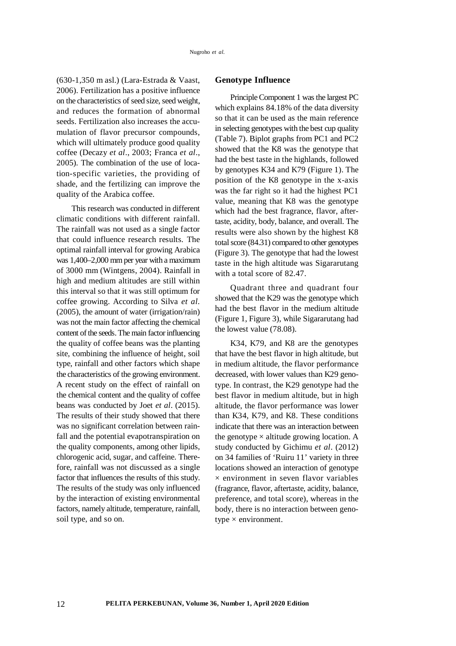(630-1,350 m asl.) (Lara-Estrada & Vaast, 2006). Fertilization has a positive influence on the characteristics of seed size, seed weight, and reduces the formation of abnormal seeds. Fertilization also increases the accumulation of flavor precursor compounds, which will ultimately produce good quality coffee (Decazy *et al*., 2003; Franca *et al*., 2005). The combination of the use of location-specific varieties, the providing of shade, and the fertilizing can improve the quality of the Arabica coffee.

This research was conducted in different climatic conditions with different rainfall. The rainfall was not used as a single factor that could influence research results. The optimal rainfall interval for growing Arabica was 1,400–2,000 mm per year with a maximum of 3000 mm (Wintgens, 2004). Rainfall in high and medium altitudes are still within this interval so that it was still optimum for coffee growing. According to Silva *et al.* (2005), the amount of water (irrigation/rain) was not the main factor affecting the chemical content of the seeds. The main factor influencing the quality of coffee beans was the planting site, combining the influence of height, soil type, rainfall and other factors which shape the characteristics of the growing environment. A recent study on the effect of rainfall on the chemical content and the quality of coffee beans was conducted by Joet *et al*. (2015). The results of their study showed that there was no significant correlation between rainfall and the potential evapotranspiration on the quality components, among other lipids, chlorogenic acid, sugar, and caffeine. Therefore, rainfall was not discussed as a single factor that influences the results of this study. The results of the study was only influenced by the interaction of existing environmental factors, namely altitude, temperature, rainfall, soil type, and so on.

### **Genotype Influence**

Principle Component 1 was the largest PC which explains 84.18% of the data diversity so that it can be used as the main reference in selecting genotypes with the best cup quality (Table 7). Biplot graphs from PC1 and PC2 showed that the K8 was the genotype that had the best taste in the highlands, followed by genotypes K34 and K79 (Figure 1). The position of the K8 genotype in the x-axis was the far right so it had the highest PC1 value, meaning that K8 was the genotype which had the best fragrance, flavor, aftertaste, acidity, body, balance, and overall. The results were also shown by the highest K8 total score (84.31) compared to other genotypes (Figure 3). The genotype that had the lowest taste in the high altitude was Sigararutang with a total score of 82.47.

Quadrant three and quadrant four showed that the K29 was the genotype which had the best flavor in the medium altitude (Figure 1, Figure 3), while Sigararutang had the lowest value (78.08).

K34, K79, and K8 are the genotypes that have the best flavor in high altitude, but in medium altitude, the flavor performance decreased, with lower values than K29 genotype. In contrast, the K29 genotype had the best flavor in medium altitude, but in high altitude, the flavor performance was lower than K34, K79, and K8. These conditions indicate that there was an interaction between the genotype  $\times$  altitude growing location. A study conducted by Gichimu *et al*. (2012) on 34 families of 'Ruiru 11' variety in three locations showed an interaction of genotype  $\times$  environment in seven flavor variables (fragrance, flavor, aftertaste, acidity, balance, preference, and total score), whereas in the body, there is no interaction between genotype  $\times$  environment.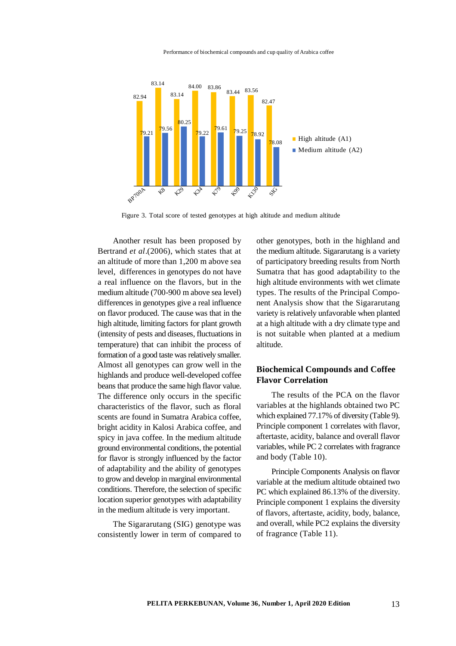



Figure 3. Total score of tested genotypes at high altitude and medium altitude

Another result has been proposed by Bertrand *et al*.(2006), which states that at an altitude of more than 1,200 m above sea level, differences in genotypes do not have a real influence on the flavors, but in the medium altitude (700-900 m above sea level) differences in genotypes give a real influence on flavor produced. The cause was that in the high altitude, limiting factors for plant growth (intensity of pests and diseases, fluctuations in temperature) that can inhibit the process of formation of a good taste was relatively smaller. Almost all genotypes can grow well in the highlands and produce well-developed coffee beans that produce the same high flavor value. The difference only occurs in the specific characteristics of the flavor, such as floral scents are found in Sumatra Arabica coffee, bright acidity in Kalosi Arabica coffee, and spicy in java coffee. In the medium altitude ground environmental conditions, the potential for flavor is strongly influenced by the factor of adaptability and the ability of genotypes to grow and develop in marginal environmental conditions. Therefore, the selection of specific location superior genotypes with adaptability in the medium altitude is very important.

The Sigararutang (SIG) genotype was consistently lower in term of compared to

other genotypes, both in the highland and the medium altitude. Sigararutang is a variety of participatory breeding results from North Sumatra that has good adaptability to the high altitude environments with wet climate types. The results of the Principal Component Analysis show that the Sigararutang variety is relatively unfavorable when planted at a high altitude with a dry climate type and is not suitable when planted at a medium altitude.

## **Biochemical Compounds and Coffee Flavor Correlation**

The results of the PCA on the flavor variables at the highlands obtained two PC which explained 77.17% of diversity (Table 9). Principle component 1 correlates with flavor, aftertaste, acidity, balance and overall flavor variables, while PC 2 correlates with fragrance and body (Table 10).

Principle Components Analysis on flavor variable at the medium altitude obtained two PC which explained 86.13% of the diversity. Principle component 1 explains the diversity of flavors, aftertaste, acidity, body, balance, and overall, while PC2 explains the diversity of fragrance (Table 11).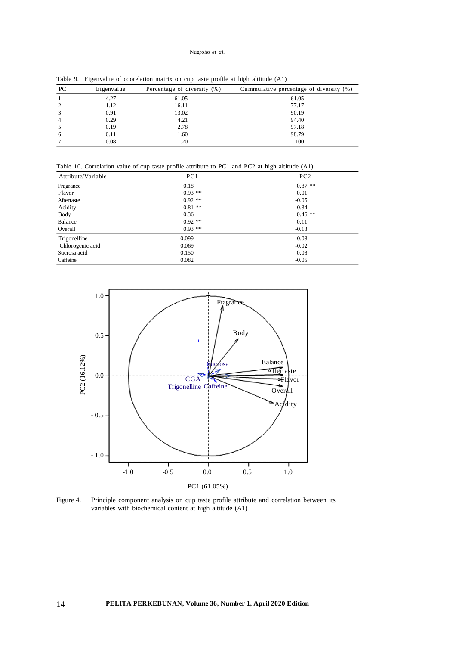#### Nugroho *et al.*

| PC.          | Eigenvalue | Percentage of diversity (%) | Cummulative percentage of diversity (%) |
|--------------|------------|-----------------------------|-----------------------------------------|
|              | 4.27       | 61.05                       | 61.05                                   |
|              | 1.12       | 16.11                       | 77.17                                   |
|              | 0.91       | 13.02                       | 90.19                                   |
|              | 0.29       | 4.21                        | 94.40                                   |
|              | 0.19       | 2.78                        | 97.18                                   |
| <sub>0</sub> | 0.11       | 1.60                        | 98.79                                   |
|              | 0.08       | 1.20                        | 100                                     |

Table 9. Eigenvalue of coorelation matrix on cup taste profile at high altitude (A1)

Table 10. Correlation value of cup taste profile attribute to PC1 and PC2 at high altitude (A1)

| Attribute/Variable | PC1       | PC2       |
|--------------------|-----------|-----------|
| Fragrance          | 0.18      | $0.87$ ** |
| Flavor             | $0.93$ ** | 0.01      |
| Aftertaste         | $0.92$ ** | $-0.05$   |
| Acidity            | $0.81$ ** | $-0.34$   |
| Body               | 0.36      | $0.46$ ** |
| Balance            | $0.92$ ** | 0.11      |
| Overall            | $0.93$ ** | $-0.13$   |
| Trigonelline       | 0.099     | $-0.08$   |
| Chlorogenic acid   | 0.069     | $-0.02$   |
| Sucrosa acid       | 0.150     | 0.08      |
| Caffeine           | 0.082     | $-0.05$   |



Figure 4. Principle component analysis on cup taste profile attribute and correlation between its variables with biochemical content at high altitude (A1)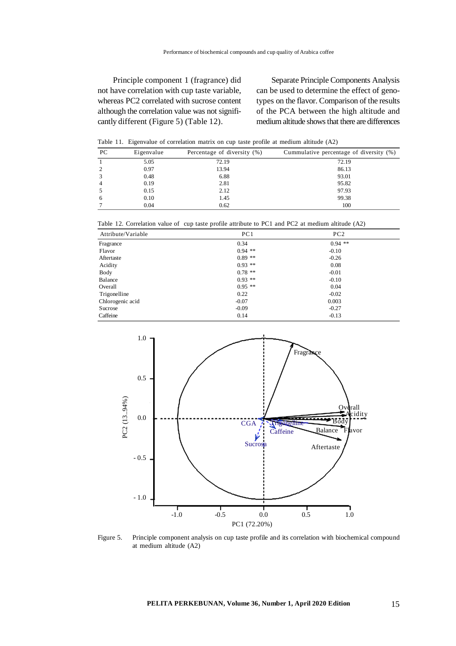Principle component 1 (fragrance) did not have correlation with cup taste variable, whereas PC2 correlated with sucrose content although the correlation value was not significantly different (Figure 5) (Table 12).

Separate Principle Components Analysis can be used to determine the effect of genotypes on the flavor. Comparison of the results of the PCA between the high altitude and medium altitude shows that there are differences

Table 11. Eigenvalue of correlation matrix on cup taste profile at medium altitude (A2)

| PC | Eigenvalue | Percentage of diversity (%) | Cummulative percentage of diversity (%) |
|----|------------|-----------------------------|-----------------------------------------|
|    | 5.05       | 72.19                       | 72.19                                   |
|    | 0.97       | 13.94                       | 86.13                                   |
|    | 0.48       | 6.88                        | 93.01                                   |
|    | 0.19       | 2.81                        | 95.82                                   |
|    | 0.15       | 2.12                        | 97.93                                   |
| h  | 0.10       | 1.45                        | 99.38                                   |
|    | 0.04       | 0.62                        | 100                                     |

Table 12. Correlation value of cup taste profile attribute to PC1 and PC2 at medium altitude (A2)

| Attribute/Variable | PC1       | PC2       |  |
|--------------------|-----------|-----------|--|
| Fragrance          | 0.34      | $0.94$ ** |  |
| Flavor             | $0.94$ ** | $-0.10$   |  |
| Aftertaste         | $0.89**$  | $-0.26$   |  |
| Acidity            | $0.93$ ** | 0.08      |  |
| Body               | $0.78$ ** | $-0.01$   |  |
| Balance            | $0.93$ ** | $-0.10$   |  |
| Overall            | $0.95$ ** | 0.04      |  |
| Trigonelline       | 0.22      | $-0.02$   |  |
| Chlorogenic acid   | $-0.07$   | 0.003     |  |
| Sucrose            | $-0.09$   | $-0.27$   |  |
| Caffeine           | 0.14      | $-0.13$   |  |



Figure 5. Principle component analysis on cup taste profile and its correlation with biochemical compound at medium altitude (A2)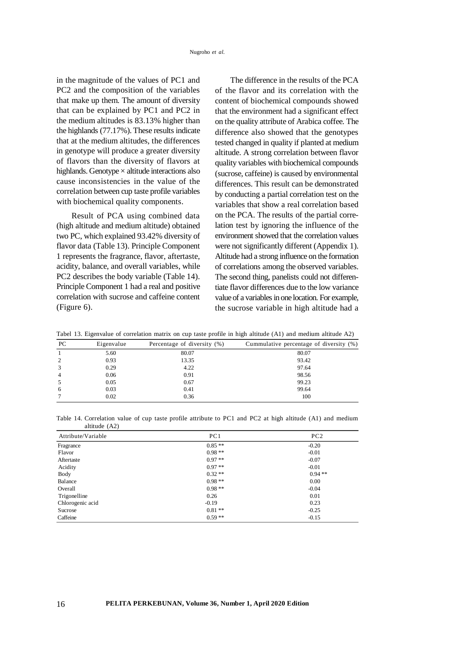in the magnitude of the values of PC1 and PC2 and the composition of the variables that make up them. The amount of diversity that can be explained by PC1 and PC2 in the medium altitudes is 83.13% higher than the highlands (77.17%). These results indicate that at the medium altitudes, the differences in genotype will produce a greater diversity of flavors than the diversity of flavors at highlands. Genotype  $\times$  altitude interactions also cause inconsistencies in the value of the correlation between cup taste profile variables with biochemical quality components.

Result of PCA using combined data (high altitude and medium altitude) obtained two PC, which explained 93.42% diversity of flavor data (Table 13). Principle Component 1 represents the fragrance, flavor, aftertaste, acidity, balance, and overall variables, while PC2 describes the body variable (Table 14). Principle Component 1 had a real and positive correlation with sucrose and caffeine content (Figure 6).

The difference in the results of the PCA of the flavor and its correlation with the content of biochemical compounds showed that the environment had a significant effect on the quality attribute of Arabica coffee. The difference also showed that the genotypes tested changed in quality if planted at medium altitude. A strong correlation between flavor quality variables with biochemical compounds (sucrose, caffeine) is caused by environmental differences. This result can be demonstrated by conducting a partial correlation test on the variables that show a real correlation based on the PCA. The results of the partial correlation test by ignoring the influence of the environment showed that the correlation values were not significantly different (Appendix 1). Altitude had a strong influence on the formation of correlations among the observed variables. The second thing, panelists could not differentiate flavor differences due to the low variance value of a variables in one location. For example, the sucrose variable in high altitude had a

|  |  |  |  |  |  |  | Tabel 13. Eigenvalue of correlation matrix on cup taste profile in high altitude (A1) and medium altitude A2) |
|--|--|--|--|--|--|--|---------------------------------------------------------------------------------------------------------------|
|--|--|--|--|--|--|--|---------------------------------------------------------------------------------------------------------------|

| PC | Eigenvalue | Percentage of diversity (%) | Cummulative percentage of diversity (%) |
|----|------------|-----------------------------|-----------------------------------------|
|    | 5.60       | 80.07                       | 80.07                                   |
|    | 0.93       | 13.35                       | 93.42                                   |
| 3  | 0.29       | 4.22                        | 97.64                                   |
|    | 0.06       | 0.91                        | 98.56                                   |
|    | 0.05       | 0.67                        | 99.23                                   |
| 6  | 0.03       | 0.41                        | 99.64                                   |
|    | 0.02       | 0.36                        | 100                                     |
|    |            |                             |                                         |

Table 14. Correlation value of cup taste profile attribute to PC1 and PC2 at high altitude (A1) and medium altitude (A2)

| Attribute/Variable | PC1      | PC2      |
|--------------------|----------|----------|
| Fragrance          | $0.85**$ | $-0.20$  |
| Flavor             | $0.98**$ | $-0.01$  |
| Aftertaste         | $0.97**$ | $-0.07$  |
| Acidity            | $0.97**$ | $-0.01$  |
| Body               | $0.32**$ | $0.94**$ |
| Balance            | $0.98**$ | 0.00     |
| Overall            | $0.98**$ | $-0.04$  |
| Trigonelline       | 0.26     | 0.01     |
| Chlorogenic acid   | $-0.19$  | 0.23     |
| Sucrose            | $0.81**$ | $-0.25$  |
| Caffeine           | $0.59**$ | $-0.15$  |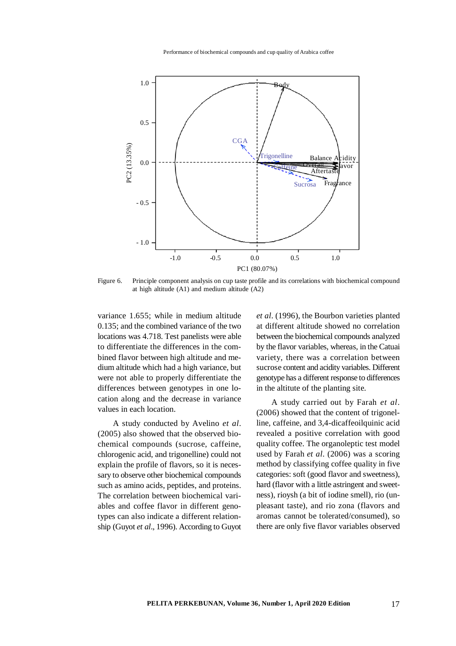Performance of biochemical compounds and cup quality of Arabica coffee



Figure 6. Principle component analysis on cup taste profile and its correlations with biochemical compound at high altitude (A1) and medium altitude (A2)

variance 1.655; while in medium altitude 0.135; and the combined variance of the two locations was 4.718. Test panelists were able to differentiate the differences in the combined flavor between high altitude and medium altitude which had a high variance, but were not able to properly differentiate the differences between genotypes in one location along and the decrease in variance values in each location.

A study conducted by Avelino *et al*. (2005) also showed that the observed biochemical compounds (sucrose, caffeine, chlorogenic acid, and trigonelline) could not explain the profile of flavors, so it is necessary to observe other biochemical compounds such as amino acids, peptides, and proteins. The correlation between biochemical variables and coffee flavor in different genotypes can also indicate a different relationship (Guyot *et al*., 1996). According to Guyot

*et al*. (1996), the Bourbon varieties planted at different altitude showed no correlation between the biochemical compounds analyzed by the flavor variables, whereas, in the Catuai variety, there was a correlation between sucrose content and acidity variables. Different genotype has a different response to differences in the altitute of the planting site.

A study carried out by Farah *et al*. (2006) showed that the content of trigonelline, caffeine, and 3,4-dicaffeoilquinic acid revealed a positive correlation with good quality coffee. The organoleptic test model used by Farah *et al*. (2006) was a scoring method by classifying coffee quality in five categories: soft (good flavor and sweetness), hard (flavor with a little astringent and sweetness), rioysh (a bit of iodine smell), rio (unpleasant taste), and rio zona (flavors and aromas cannot be tolerated/consumed), so there are only five flavor variables observed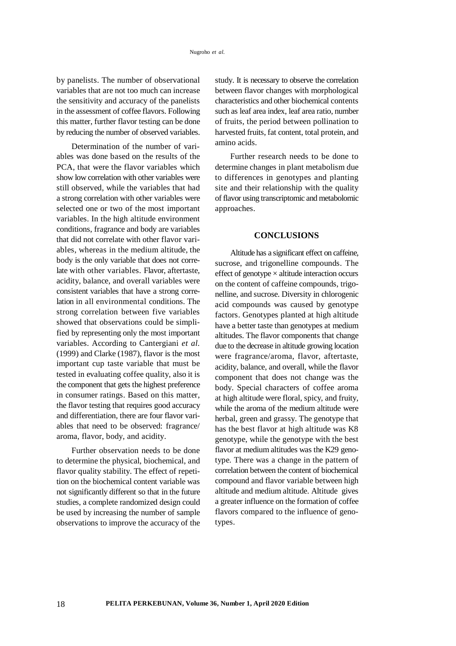by panelists. The number of observational variables that are not too much can increase the sensitivity and accuracy of the panelists in the assessment of coffee flavors. Following this matter, further flavor testing can be done by reducing the number of observed variables.

Determination of the number of variables was done based on the results of the PCA, that were the flavor variables which show low correlation with other variables were still observed, while the variables that had a strong correlation with other variables were selected one or two of the most important variables. In the high altitude environment conditions, fragrance and body are variables that did not correlate with other flavor variables, whereas in the medium altitude, the body is the only variable that does not correlate with other variables. Flavor, aftertaste, acidity, balance, and overall variables were consistent variables that have a strong correlation in all environmental conditions. The strong correlation between five variables showed that observations could be simplified by representing only the most important variables. According to Cantergiani *et al.* (1999) and Clarke (1987), flavor is the most important cup taste variable that must be tested in evaluating coffee quality, also it is the component that gets the highest preference in consumer ratings. Based on this matter, the flavor testing that requires good accuracy and differentiation, there are four flavor variables that need to be observed: fragrance/ aroma, flavor, body, and acidity.

Further observation needs to be done to determine the physical, biochemical, and flavor quality stability. The effect of repetition on the biochemical content variable was not significantly different so that in the future studies, a complete randomized design could be used by increasing the number of sample observations to improve the accuracy of the

study. It is necessary to observe the correlation between flavor changes with morphological characteristics and other biochemical contents such as leaf area index, leaf area ratio, number of fruits, the period between pollination to harvested fruits, fat content, total protein, and amino acids.

Further research needs to be done to determine changes in plant metabolism due to differences in genotypes and planting site and their relationship with the quality of flavor using transcriptomic and metabolomic approaches.

### **CONCLUSIONS**

Altitude has a significant effect on caffeine, sucrose, and trigonelline compounds. The effect of genotype  $\times$  altitude interaction occurs on the content of caffeine compounds, trigonelline, and sucrose. Diversity in chlorogenic acid compounds was caused by genotype factors. Genotypes planted at high altitude have a better taste than genotypes at medium altitudes. The flavor components that change due to the decrease in altitude growing location were fragrance/aroma, flavor, aftertaste, acidity, balance, and overall, while the flavor component that does not change was the body. Special characters of coffee aroma at high altitude were floral, spicy, and fruity, while the aroma of the medium altitude were herbal, green and grassy. The genotype that has the best flavor at high altitude was K8 genotype, while the genotype with the best flavor at medium altitudes was the K29 genotype. There was a change in the pattern of correlation between the content of biochemical compound and flavor variable between high altitude and medium altitude. Altitude gives a greater influence on the formation of coffee flavors compared to the influence of genotypes.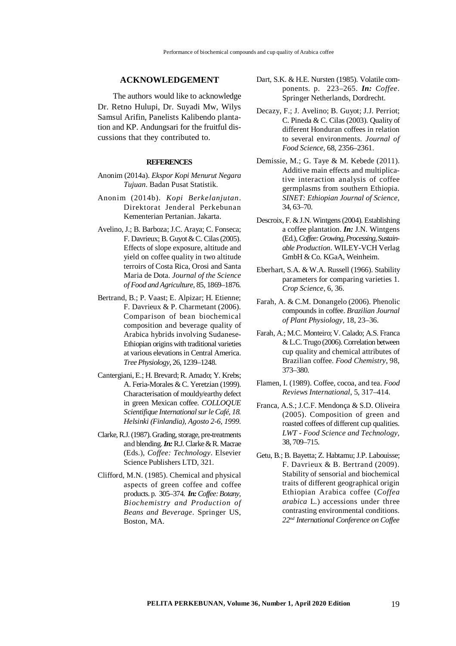### **ACKNOWLEDGEMENT**

The authors would like to acknowledge Dr. Retno Hulupi, Dr. Suyadi Mw, Wilys Samsul Arifin, Panelists Kalibendo plantation and KP. Andungsari for the fruitful discussions that they contributed to.

#### **REFERENCES**

- Anonim (2014a). *Ekspor Kopi Menurut Negara Tujuan*. Badan Pusat Statistik.
- Anonim (2014b). *Kopi Berkelanjutan*. Direktorat Jenderal Perkebunan Kementerian Pertanian. Jakarta.
- Avelino, J.; B. Barboza; J.C. Araya; C. Fonseca; F. Davrieux; B. Guyot & C. Cilas (2005). Effects of slope exposure, altitude and yield on coffee quality in two altitude terroirs of Costa Rica, Orosi and Santa Maria de Dota. *Journal of the Science of Food and Agriculture*, 85, 1869–1876.
- Bertrand, B.; P. Vaast; E. Alpizar; H. Etienne; F. Davrieux & P. Charmetant (2006). Comparison of bean biochemical composition and beverage quality of Arabica hybrids involving Sudanese-Ethiopian origins with traditional varieties at various elevations in Central America. *Tree Physiology*, 26, 1239–1248.
- Cantergiani, E.; H. Brevard; R. Amado; Y. Krebs; A. Feria-Morales & C. Yeretzian (1999). Characterisation of mouldy/earthy defect in green Mexican coffee. *COLLOQUE Scientifique International sur le Café, 18. Helsinki (Finlandia), Agosto 2-6, 1999.*
- Clarke, R.J. (1987). Grading, storage, pre-treatments and blending. *In:* R.J. Clarke & R. Macrae (Eds.), *Coffee: Technology*. Elsevier Science Publishers LTD, 321.
- Clifford, M.N. (1985). Chemical and physical aspects of green coffee and coffee products. p. 305–374. *In: Coffee: Botany, Biochemistry and Production of Beans and Beverage*. Springer US, Boston, MA.
- Dart, S.K. & H.E. Nursten (1985). Volatile components. p. 223–265. *In: Coffee*. Springer Netherlands, Dordrecht.
- Decazy, F.; J. Avelino; B. Guyot; J.J. Perriot; C. Pineda & C. Cilas (2003). Quality of different Honduran coffees in relation to several environments. *Journal of Food Science,* 68, 2356–2361.
- Demissie, M.; G. Taye & M. Kebede (2011). Additive main effects and multiplicative interaction analysis of coffee germplasms from southern Ethiopia. *SINET: Ethiopian Journal of Science*, 34, 63–70.
- Descroix, F. & J.N. Wintgens (2004). Establishing a coffee plantation. *In:* J.N. Wintgens (Ed.),*Coffee: Growing, Processing, Sustainable Production*. WILEY-VCH Verlag GmbH & Co. KGaA, Weinheim.
- Eberhart, S.A. & W.A. Russell (1966). Stability parameters for comparing varieties 1. *Crop Science*, 6, 36.
- Farah, A. & C.M. Donangelo (2006). Phenolic compounds in coffee. *Brazilian Journal of Plant Physiology*, 18, 23–36.
- Farah, A.; M.C. Monteiro; V. Calado; A.S. Franca & L.C. Trugo (2006). Correlation between cup quality and chemical attributes of Brazilian coffee. *Food Chemistry*, 98, 373–380.
- Flamen, I. (1989). Coffee, cocoa, and tea. *Food Reviews International*, 5, 317–414.
- Franca, A.S.; J.C.F. Mendonça & S.D. Oliveira (2005). Composition of green and roasted coffees of different cup qualities. *LWT - Food Science and Technology*, 38, 709–715.
- Getu, B.; B. Bayetta; Z. Habtamu; J.P. Labouisse; F. Davrieux & B. Bertrand (2009). Stability of sensorial and biochemical traits of different geographical origin Ethiopian Arabica coffee (*Coffea arabica* L.) accessions under three contrasting environmental conditions. *22nd International Conference on Coffee*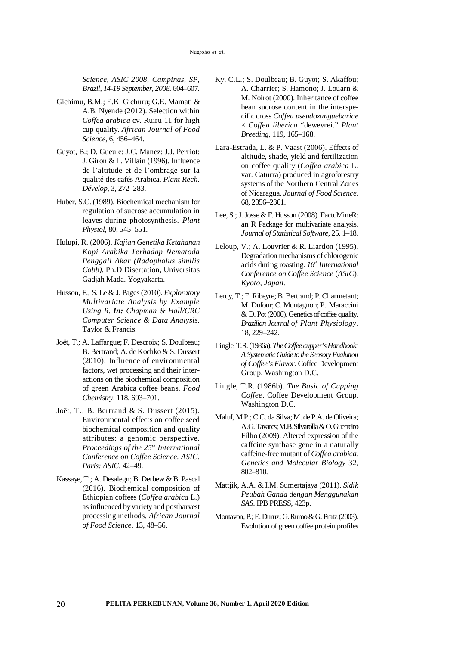*Science, ASIC 2008, Campinas, SP, Brazil, 14-19 September, 2008.* 604–607.

- Gichimu, B.M.; E.K. Gichuru; G.E. Mamati & A.B. Nyende (2012). Selection within *Coffea arabica* cv. Ruiru 11 for high cup quality. *African Journal of Food Science*, 6, 456–464.
- Guyot, B.; D. Gueule; J.C. Manez; J.J. Perriot; J. Giron & L. Villain (1996). Influence de l'altitude et de l'ombrage sur la qualité des cafés Arabica. *Plant Rech. Dévelop*, 3, 272–283.
- Huber, S.C. (1989). Biochemical mechanism for regulation of sucrose accumulation in leaves during photosynthesis. *Plant Physiol*, 80, 545–551.
- Hulupi, R. (2006). *Kajian Genetika Ketahanan Kopi Arabika Terhadap Nematoda Penggali Akar (Radopholus similis Cobb).* Ph.D Disertation, Universitas Gadjah Mada. Yogyakarta.
- Husson, F.; S. Le & J. Pages (2010). *Exploratory Multivariate Analysis by Example Using R*. *In: Chapman & Hall/CRC Computer Science & Data Analysis*. Taylor & Francis.
- Joët, T.; A. Laffargue; F. Descroix; S. Doulbeau; B. Bertrand; A. de Kochko & S. Dussert (2010). Influence of environmental factors, wet processing and their interactions on the biochemical composition of green Arabica coffee beans. *Food Chemistry*, 118, 693–701.
- Joët, T.; B. Bertrand & S. Dussert (2015). Environmental effects on coffee seed biochemical composition and quality attributes: a genomic perspective. *Proceedings of the 25th International Conference on Coffee Science. ASIC. Paris: ASIC*. 42–49.
- Kassaye, T.; A. Desalegn; B. Derbew & B. Pascal (2016). Biochemical composition of Ethiopian coffees (*Coffea arabica* L.) as influenced by variety and postharvest processing methods. *African Journal of Food Science,* 13, 48–56.
- Ky, C.L.; S. Doulbeau; B. Guyot; S. Akaffou; A. Charrier; S. Hamono; J. Louarn & M. Noirot (2000). Inheritance of coffee bean sucrose content in the interspecific cross *Coffea pseudozanguebariae* × *Coffea liberica* "dewevrei." *Plant Breeding,* 119, 165–168.
- Lara-Estrada, L. & P. Vaast (2006). Effects of altitude, shade, yield and fertilization on coffee quality (*Coffea arabica* L. var. Caturra) produced in agroforestry systems of the Northern Central Zones of Nicaragua. *Journal of Food Science*, 68, 2356–2361.
- Lee, S.; J. Josse & F. Husson (2008). FactoMineR: an R Package for multivariate analysis. *Journal of Statistical Software*, 25, 1–18.
- Leloup, V.; A. Louvrier & R. Liardon (1995). Degradation mechanisms of chlorogenic acids during roasting. *16th International Conference on Coffee Science* (*ASIC*)*. Kyoto, Japan*.
- Leroy, T.; F. Ribeyre; B. Bertrand; P. Charmetant; M. Dufour; C. Montagnon; P. Maraccini & D. Pot (2006). Genetics of coffee quality. *Brazilian Journal of Plant Physiology*, 18, 229–242.
- Lingle, T.R. (1986a). *The Coffee cupper's Handbook: A Systematic Guide to the Sensory Evalution of Coffee's Flavor*. Coffee Development Group, Washington D.C.
- Lingle, T.R. (1986b). *The Basic of Cupping Coffee*. Coffee Development Group, Washington D.C.
- Maluf, M.P.; C.C. da Silva; M. de P.A. de Oliveira; A.G. Tavares; M.B. Silvarolla & O. Guerreiro Filho (2009). Altered expression of the caffeine synthase gene in a naturally caffeine-free mutant of *Coffea arabica*. *Genetics and Molecular Biology* 32, 802–810.
- Mattjik, A.A. & I.M. Sumertajaya (2011). *Sidik Peubah Ganda dengan Menggunakan SAS*. IPB PRESS, 423p.
- Montavon, P.; E. Duruz; G. Rumo & G. Pratz (2003). Evolution of green coffee protein profiles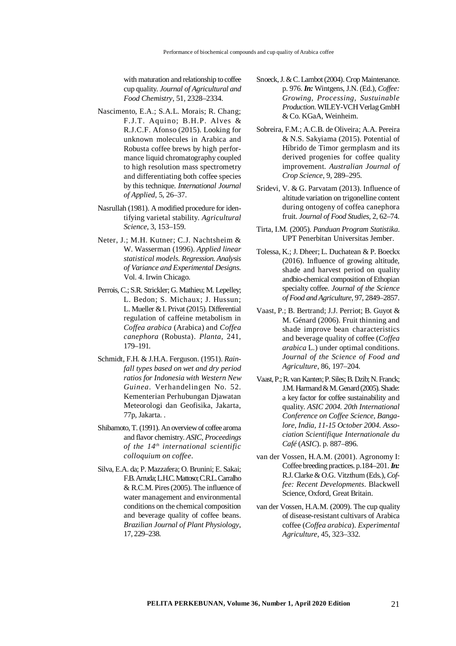with maturation and relationship to coffee cup quality. *Journal of Agricultural and Food Chemistry*, 51, 2328–2334.

- Nascimento, E.A.; S.A.L. Morais; R. Chang; F.J.T. Aquino; B.H.P. Alves & R.J.C.F. Afonso (2015). Looking for unknown molecules in Arabica and Robusta coffee brews by high performance liquid chromatography coupled to high resolution mass spectrometry and differentiating both coffee species by this technique. *International Journal of Applied*, 5, 26–37.
- Nasrullah (1981). A modified procedure for identifying varietal stability. *Agricultural Science*, 3, 153–159.
- Neter, J.; M.H. Kutner; C.J. Nachtsheim & W. Wasserman (1996). *Applied linear statistical models. Regression. Analysis of Variance and Experimental Designs*. Vol. 4. Irwin Chicago.
- Perrois, C.; S.R. Strickler; G. Mathieu; M. Lepelley; L. Bedon; S. Michaux; J. Hussun; L. Mueller & I. Privat (2015). Differential regulation of caffeine metabolism in *Coffea arabica* (Arabica) and *Coffea canephora* (Robusta). *Planta*, 241, 179–191.
- Schmidt, F.H. & J.H.A. Ferguson. (1951). *Rainfall types based on wet and dry period ratios for Indonesia with Western New Guinea*. Verhandelingen No. 52. Kementerian Perhubungan Djawatan Meteorologi dan Geofisika, Jakarta, 77p, Jakarta. .
- Shibamoto, T. (1991). An overview of coffee aroma and flavor chemistry. *ASIC, Proceedings of the 14th international scientific colloquium on coffee*.
- Silva, E.A. da; P. Mazzafera; O. Brunini; E. Sakai; F.B. Arruda; L.H.C. Mattoso; C.R.L. Carralho & R.C.M. Pires (2005). The influence of water management and environmental conditions on the chemical composition and beverage quality of coffee beans. *Brazilian Journal of Plant Physiology*, 17, 229–238.
- Snoeck, J. & C. Lambot (2004). Crop Maintenance. p. 976. *In:* Wintgens, J.N. (Ed.), *Coffee: Growing, Processing, Sustuinable Production*. WILEY-VCH Verlag GmbH & Co. KGaA, Weinheim.
- Sobreira, F.M.; A.C.B. de Oliveira; A.A. Pereira & N.S. Sakyiama (2015). Potential of Híbrido de Timor germplasm and its derived progenies for coffee quality improvement. *Australian Journal of Crop Science*, 9, 289–295.
- Sridevi, V. & G. Parvatam (2013). Influence of altitude variation on trigonelline content during ontogeny of coffea canephora fruit. *Journal of Food Studies,* 2, 62–74.
- Tirta, I.M. (2005). *Panduan Program Statistika*. UPT Penerbitan Universitas Jember.
- Tolessa, K.; J. Dheer; L. Duchatean & P. Boeckx (2016). Influence of growing altitude, shade and harvest period on quality andbio-chemical composition of Ethopian specialty coffee. *Journal of the Science of Food and Agriculture*, 97, 2849–2857.
- Vaast, P.; B. Bertrand; J.J. Perriot; B. Guyot & M. Génard (2006). Fruit thinning and shade improve bean characteristics and beverage quality of coffee (*Coffea arabica* L.) under optimal conditions. *Journal of the Science of Food and Agriculture*, 86, 197–204.
- Vaast, P.; R. van Kanten; P. Siles; B. Dzib; N. Franck; J.M. Harmand & M. Genard(2005). Shade: a key factor for coffee sustainability and quality. *ASIC 2004. 20th International Conference on Coffee Science, Bangalore, India, 11-15 October 2004. Association Scientifique Internationale du Café* (*ASIC*). p. 887–896.
- van der Vossen, H.A.M. (2001). Agronomy I: Coffee breeding practices. p.184–201. *In:* R.J. Clarke & O.G. Vitzthum (Eds.), *Coffee: Recent Developments*. Blackwell Science, Oxford, Great Britain.
- van der Vossen, H.A.M. (2009). The cup quality of disease-resistant cultivars of Arabica coffee (*Coffea arabica*). *Experimental Agriculture*, 45, 323–332.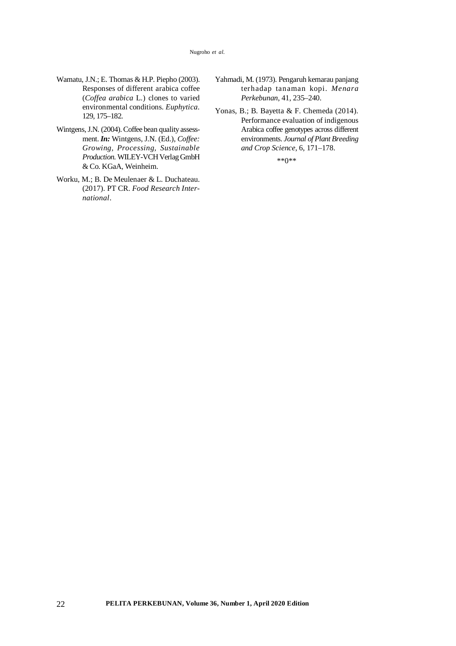#### Nugroho *et al.*

- Wamatu, J.N.; E. Thomas & H.P. Piepho (2003). Responses of different arabica coffee (*Coffea arabica* L.) clones to varied environmental conditions. *Euphytica*. 129, 175–182.
- Wintgens, J.N. (2004). Coffee bean quality assessment. *In:* Wintgens, J.N. (Ed.), *Coffee: Growing, Processing, Sustainable Production*. WILEY-VCHVerlagGmbH & Co. KGaA, Weinheim.
- Worku, M.; B. De Meulenaer & L. Duchateau. (2017). PT CR. *Food Research International*.
- Yahmadi, M. (1973). Pengaruh kemarau panjang terhadap tanaman kopi. *Menara Perkebunan*, 41, 235–240.
- Yonas, B.; B. Bayetta & F. Chemeda (2014). Performance evaluation of indigenous Arabica coffee genotypes across different environments. *Journal of Plant Breeding and Crop Science*, 6, 171–178.

<sup>\*\*0\*\*</sup>